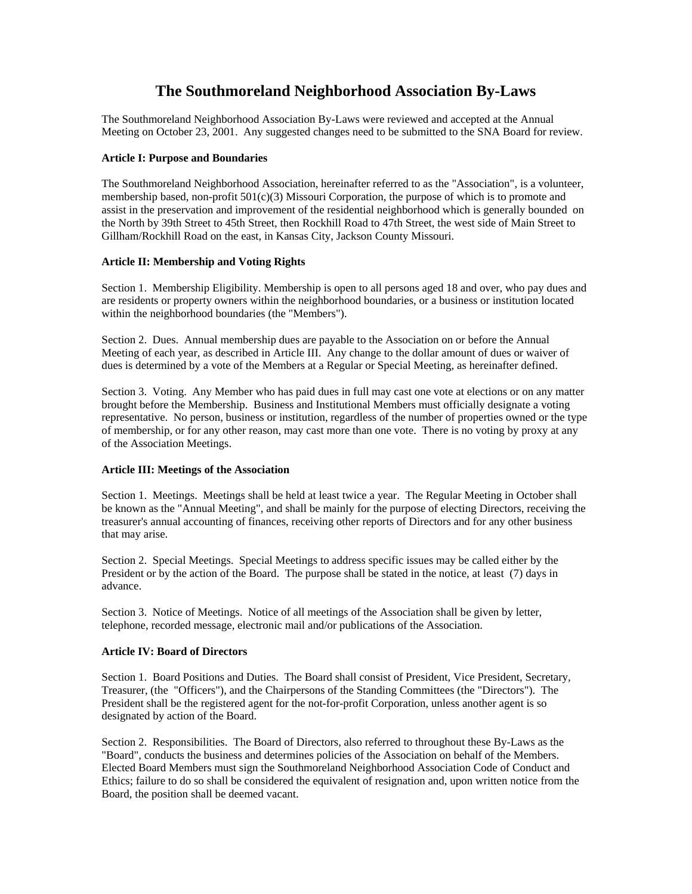# **The Southmoreland Neighborhood Association By-Laws**

The Southmoreland Neighborhood Association By-Laws were reviewed and accepted at the Annual Meeting on October 23, 2001. Any suggested changes need to be submitted to the SNA Board for review.

### **Article I: Purpose and Boundaries**

The Southmoreland Neighborhood Association, hereinafter referred to as the "Association", is a volunteer, membership based, non-profit 501(c)(3) Missouri Corporation, the purpose of which is to promote and assist in the preservation and improvement of the residential neighborhood which is generally bounded on the North by 39th Street to 45th Street, then Rockhill Road to 47th Street, the west side of Main Street to Gillham/Rockhill Road on the east, in Kansas City, Jackson County Missouri.

## **Article II: Membership and Voting Rights**

Section 1. Membership Eligibility. Membership is open to all persons aged 18 and over, who pay dues and are residents or property owners within the neighborhood boundaries, or a business or institution located within the neighborhood boundaries (the "Members").

Section 2. Dues. Annual membership dues are payable to the Association on or before the Annual Meeting of each year, as described in Article III. Any change to the dollar amount of dues or waiver of dues is determined by a vote of the Members at a Regular or Special Meeting, as hereinafter defined.

Section 3. Voting. Any Member who has paid dues in full may cast one vote at elections or on any matter brought before the Membership. Business and Institutional Members must officially designate a voting representative. No person, business or institution, regardless of the number of properties owned or the type of membership, or for any other reason, may cast more than one vote. There is no voting by proxy at any of the Association Meetings.

# **Article III: Meetings of the Association**

Section 1. Meetings. Meetings shall be held at least twice a year. The Regular Meeting in October shall be known as the "Annual Meeting", and shall be mainly for the purpose of electing Directors, receiving the treasurer's annual accounting of finances, receiving other reports of Directors and for any other business that may arise.

Section 2. Special Meetings. Special Meetings to address specific issues may be called either by the President or by the action of the Board. The purpose shall be stated in the notice, at least (7) days in advance.

Section 3. Notice of Meetings. Notice of all meetings of the Association shall be given by letter, telephone, recorded message, electronic mail and/or publications of the Association.

# **Article IV: Board of Directors**

Section 1. Board Positions and Duties. The Board shall consist of President, Vice President, Secretary, Treasurer, (the "Officers"), and the Chairpersons of the Standing Committees (the "Directors"). The President shall be the registered agent for the not-for-profit Corporation, unless another agent is so designated by action of the Board.

Section 2. Responsibilities. The Board of Directors, also referred to throughout these By-Laws as the "Board", conducts the business and determines policies of the Association on behalf of the Members. Elected Board Members must sign the Southmoreland Neighborhood Association Code of Conduct and Ethics; failure to do so shall be considered the equivalent of resignation and, upon written notice from the Board, the position shall be deemed vacant.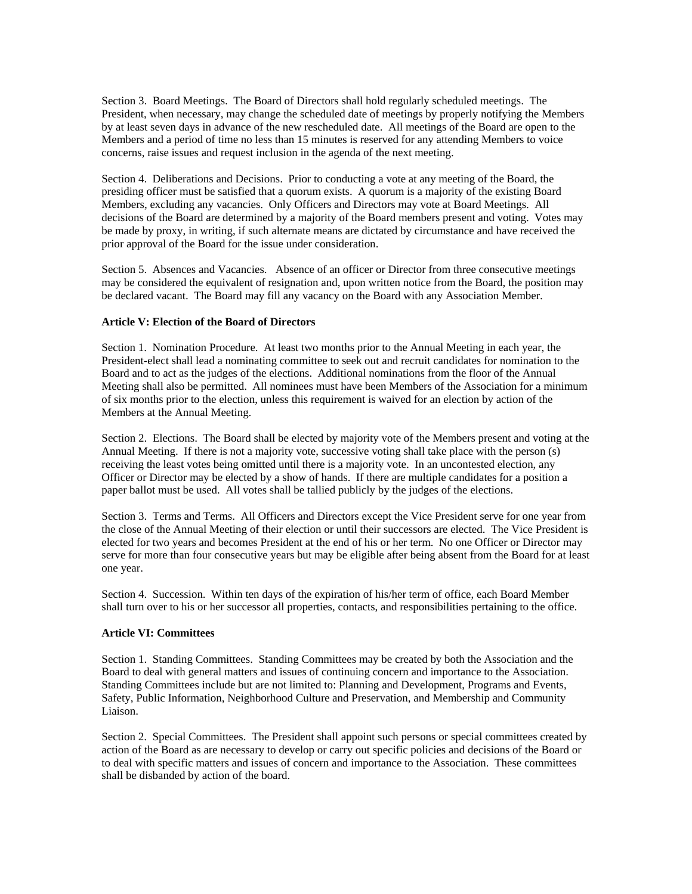Section 3. Board Meetings. The Board of Directors shall hold regularly scheduled meetings. The President, when necessary, may change the scheduled date of meetings by properly notifying the Members by at least seven days in advance of the new rescheduled date. All meetings of the Board are open to the Members and a period of time no less than 15 minutes is reserved for any attending Members to voice concerns, raise issues and request inclusion in the agenda of the next meeting.

Section 4. Deliberations and Decisions. Prior to conducting a vote at any meeting of the Board, the presiding officer must be satisfied that a quorum exists. A quorum is a majority of the existing Board Members, excluding any vacancies. Only Officers and Directors may vote at Board Meetings. All decisions of the Board are determined by a majority of the Board members present and voting. Votes may be made by proxy, in writing, if such alternate means are dictated by circumstance and have received the prior approval of the Board for the issue under consideration.

Section 5. Absences and Vacancies. Absence of an officer or Director from three consecutive meetings may be considered the equivalent of resignation and, upon written notice from the Board, the position may be declared vacant. The Board may fill any vacancy on the Board with any Association Member.

### **Article V: Election of the Board of Directors**

Section 1. Nomination Procedure. At least two months prior to the Annual Meeting in each year, the President-elect shall lead a nominating committee to seek out and recruit candidates for nomination to the Board and to act as the judges of the elections. Additional nominations from the floor of the Annual Meeting shall also be permitted. All nominees must have been Members of the Association for a minimum of six months prior to the election, unless this requirement is waived for an election by action of the Members at the Annual Meeting.

Section 2. Elections. The Board shall be elected by majority vote of the Members present and voting at the Annual Meeting. If there is not a majority vote, successive voting shall take place with the person (s) receiving the least votes being omitted until there is a majority vote. In an uncontested election, any Officer or Director may be elected by a show of hands. If there are multiple candidates for a position a paper ballot must be used. All votes shall be tallied publicly by the judges of the elections.

Section 3. Terms and Terms. All Officers and Directors except the Vice President serve for one year from the close of the Annual Meeting of their election or until their successors are elected. The Vice President is elected for two years and becomes President at the end of his or her term. No one Officer or Director may serve for more than four consecutive years but may be eligible after being absent from the Board for at least one year.

Section 4. Succession. Within ten days of the expiration of his/her term of office, each Board Member shall turn over to his or her successor all properties, contacts, and responsibilities pertaining to the office.

### **Article VI: Committees**

Section 1. Standing Committees. Standing Committees may be created by both the Association and the Board to deal with general matters and issues of continuing concern and importance to the Association. Standing Committees include but are not limited to: Planning and Development, Programs and Events, Safety, Public Information, Neighborhood Culture and Preservation, and Membership and Community Liaison.

Section 2. Special Committees. The President shall appoint such persons or special committees created by action of the Board as are necessary to develop or carry out specific policies and decisions of the Board or to deal with specific matters and issues of concern and importance to the Association. These committees shall be disbanded by action of the board.